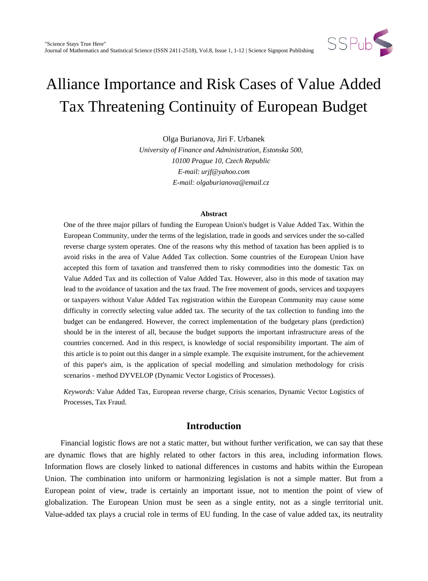

Olga Burianova, Jiri F. Urbanek *University of Finance and Administration, Estonska 500, 10100 Prague 10, Czech Republic E-mail: urjf@yahoo.com E-mail: olgaburianova@email.cz*

#### **Abstract**

One of the three major pillars of funding the European Union's budget is Value Added Tax. Within the European Community, under the terms of the legislation, trade in goods and services under the so-called reverse charge system operates. One of the reasons why this method of taxation has been applied is to avoid risks in the area of Value Added Tax collection. Some countries of the European Union have accepted this form of taxation and transferred them to risky commodities into the domestic Tax on Value Added Tax and its collection of Value Added Tax. However, also in this mode of taxation may lead to the avoidance of taxation and the tax fraud. The free movement of goods, services and taxpayers or taxpayers without Value Added Tax registration within the European Community may cause some difficulty in correctly selecting value added tax. The security of the tax collection to funding into the budget can be endangered. However, the correct implementation of the budgetary plans (prediction) should be in the interest of all, because the budget supports the important infrastructure areas of the countries concerned. And in this respect, is knowledge of social responsibility important. The aim of this article is to point out this danger in a simple example. The exquisite instrument, for the achievement of this paper's aim, is the application of special modelling and simulation methodology for crisis scenarios - method DYVELOP (Dynamic Vector Logistics of Processes).

*Keywords:* Value Added Tax, European reverse charge, Crisis scenarios, Dynamic Vector Logistics of Processes, Tax Fraud.

## **Introduction**

 Financial logistic flows are not a static matter, but without further verification, we can say that these are dynamic flows that are highly related to other factors in this area, including information flows. Information flows are closely linked to national differences in customs and habits within the European Union. The combination into uniform or harmonizing legislation is not a simple matter. But from a European point of view, trade is certainly an important issue, not to mention the point of view of globalization. The European Union must be seen as a single entity, not as a single territorial unit. Value-added tax plays a crucial role in terms of EU funding. In the case of value added tax, its neutrality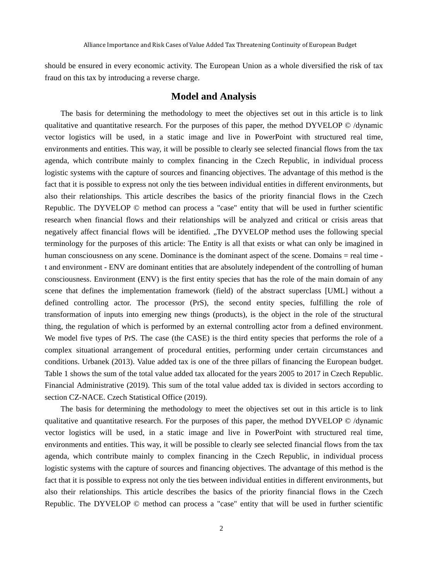should be ensured in every economic activity. The European Union as a whole diversified the risk of tax fraud on this tax by introducing a reverse charge.

### **Model and Analysis**

The basis for determining the methodology to meet the objectives set out in this article is to link qualitative and quantitative research. For the purposes of this paper, the method  $DYVELOP \odot /$  dynamic vector logistics will be used, in a static image and live in PowerPoint with structured real time, environments and entities. This way, it will be possible to clearly see selected financial flows from the tax agenda, which contribute mainly to complex financing in the Czech Republic, in individual process logistic systems with the capture of sources and financing objectives. The advantage of this method is the fact that it is possible to express not only the ties between individual entities in different environments, but also their relationships. This article describes the basics of the priority financial flows in the Czech Republic. The DYVELOP © method can process a "case" entity that will be used in further scientific research when financial flows and their relationships will be analyzed and critical or crisis areas that negatively affect financial flows will be identified. "The DYVELOP method uses the following special terminology for the purposes of this article: The Entity is all that exists or what can only be imagined in human consciousness on any scene. Dominance is the dominant aspect of the scene. Domains = real time t and environment - ENV are dominant entities that are absolutely independent of the controlling of human consciousness. Environment (ENV) is the first entity species that has the role of the main domain of any scene that defines the implementation framework (field) of the abstract superclass [UML] without a defined controlling actor. The processor (PrS), the second entity species, fulfilling the role of transformation of inputs into emerging new things (products), is the object in the role of the structural thing, the regulation of which is performed by an external controlling actor from a defined environment. We model five types of PrS. The case (the CASE) is the third entity species that performs the role of a complex situational arrangement of procedural entities, performing under certain circumstances and conditions. Urbanek (2013). Value added tax is one of the three pillars of financing the European budget. Table 1 shows the sum of the total value added tax allocated for the years 2005 to 2017 in Czech Republic. Financial Administrative (2019). This sum of the total value added tax is divided in sectors according to section CZ-NACE. Czech Statistical Office (2019).

The basis for determining the methodology to meet the objectives set out in this article is to link qualitative and quantitative research. For the purposes of this paper, the method DYVELOP © /dynamic vector logistics will be used, in a static image and live in PowerPoint with structured real time, environments and entities. This way, it will be possible to clearly see selected financial flows from the tax agenda, which contribute mainly to complex financing in the Czech Republic, in individual process logistic systems with the capture of sources and financing objectives. The advantage of this method is the fact that it is possible to express not only the ties between individual entities in different environments, but also their relationships. This article describes the basics of the priority financial flows in the Czech Republic. The DYVELOP © method can process a "case" entity that will be used in further scientific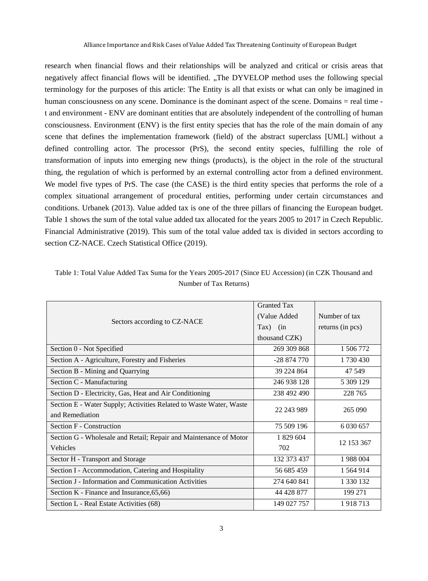research when financial flows and their relationships will be analyzed and critical or crisis areas that negatively affect financial flows will be identified. "The DYVELOP method uses the following special terminology for the purposes of this article: The Entity is all that exists or what can only be imagined in human consciousness on any scene. Dominance is the dominant aspect of the scene. Domains = real time t and environment - ENV are dominant entities that are absolutely independent of the controlling of human consciousness. Environment (ENV) is the first entity species that has the role of the main domain of any scene that defines the implementation framework (field) of the abstract superclass [UML] without a defined controlling actor. The processor (PrS), the second entity species, fulfilling the role of transformation of inputs into emerging new things (products), is the object in the role of the structural thing, the regulation of which is performed by an external controlling actor from a defined environment. We model five types of PrS. The case (the CASE) is the third entity species that performs the role of a complex situational arrangement of procedural entities, performing under certain circumstances and conditions. Urbanek (2013). Value added tax is one of the three pillars of financing the European budget. Table 1 shows the sum of the total value added tax allocated for the years 2005 to 2017 in Czech Republic. Financial Administrative (2019). This sum of the total value added tax is divided in sectors according to section CZ-NACE. Czech Statistical Office (2019).

| Sectors according to CZ-NACE                                       | <b>Granted Tax</b> |                  |
|--------------------------------------------------------------------|--------------------|------------------|
|                                                                    | (Value Added       | Number of tax    |
|                                                                    | $\text{Tax})$ (in  | returns (in pcs) |
|                                                                    | thousand CZK)      |                  |
| Section 0 - Not Specified                                          | 269 309 868        | 1 506 772        |
| Section A - Agriculture, Forestry and Fisheries                    | $-28874770$        | 1730430          |
| Section B - Mining and Quarrying                                   | 39 224 864         | 47 549           |
| Section C - Manufacturing                                          | 246 938 128        | 5 309 129        |
| Section D - Electricity, Gas, Heat and Air Conditioning            | 238 492 490        | 228 765          |
| Section E - Water Supply; Activities Related to Waste Water, Waste | 22 243 989         | 265 090          |
| and Remediation                                                    |                    |                  |
| Section F - Construction                                           | 75 509 196         | 6 0 30 6 57      |
| Section G - Wholesale and Retail; Repair and Maintenance of Motor  | 1 829 604          | 12 153 367       |
| Vehicles                                                           | 702                |                  |
| Sector H - Transport and Storage                                   | 132 373 437        | 1988004          |
| Section I - Accommodation, Catering and Hospitality                | 56 685 459         | 1 564 914        |
| Section J - Information and Communication Activities               | 274 640 841        | 1 330 132        |
| Section K - Finance and Insurance, 65, 66)                         | 44 428 877         | 199 271          |
| Section L - Real Estate Activities (68)                            | 149 027 757        | 1918713          |

Table 1: Total Value Added Tax Suma for the Years 2005-2017 (Since EU Accession) (in CZK Thousand and Number of Tax Returns)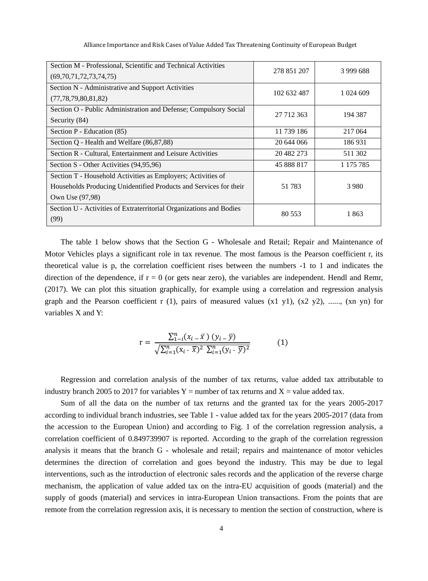| Section M - Professional, Scientific and Technical Activities<br>(69,70,71,72,73,74,75) | 278 851 207 | 3 999 688    |
|-----------------------------------------------------------------------------------------|-------------|--------------|
| Section N - Administrative and Support Activities<br>(77, 78, 79, 80, 81, 82)           | 102 632 487 | 1 0 24 6 0 9 |
| Section O - Public Administration and Defense; Compulsory Social<br>Security (84)       | 27 712 363  | 194 387      |
| Section $P$ - Education $(85)$                                                          | 11 739 186  | 217 064      |
| Section Q - Health and Welfare (86,87,88)                                               | 20 644 066  | 186931       |
| Section R - Cultural, Entertainment and Leisure Activities                              | 20 482 273  | 511 302      |
| Section S - Other Activities (94,95,96)                                                 | 45 888 817  | 1 175 785    |
| Section T - Household Activities as Employers; Activities of                            |             |              |
| Households Producing Unidentified Products and Services for their                       | 51 783      | 3 9 8 0      |
| Own Use (97,98)                                                                         |             |              |
| Section U - Activities of Extraterritorial Organizations and Bodies<br>(99)             | 80 553      | 1863         |

The table 1 below shows that the Section G - Wholesale and Retail; Repair and Maintenance of Motor Vehicles plays a significant role in tax revenue. The most famous is the Pearson coefficient r, its theoretical value is p, the correlation coefficient rises between the numbers -1 to 1 and indicates the direction of the dependence, if  $r = 0$  (or gets near zero), the variables are independent. Hendl and Remr, (2017). We can plot this situation graphically, for example using a correlation and regression analysis graph and the Pearson coefficient r (1), pairs of measured values  $(x1 y1)$ ,  $(x2 y2)$ , ......,  $(xn yn)$  for variables X and Y:

$$
r = \frac{\sum_{1-i}^{n} (x_i - \bar{x}) (y_i - \bar{y})}{\sqrt{\sum_{i=1}^{n} (x_i - \bar{x})^2 \sum_{i=1}^{n} (y_i - \bar{y})^2}}
$$
(1)

Regression and correlation analysis of the number of tax returns, value added tax attributable to industry branch 2005 to 2017 for variables  $Y =$  number of tax returns and  $X =$  value added tax.

Sum of all the data on the number of tax returns and the granted tax for the years 2005-2017 according to individual branch industries, see Table 1 - value added tax for the years 2005-2017 (data from the accession to the European Union) and according to Fig. 1 of the correlation regression analysis, a correlation coefficient of 0.849739907 is reported. According to the graph of the correlation regression analysis it means that the branch G - wholesale and retail; repairs and maintenance of motor vehicles determines the direction of correlation and goes beyond the industry. This may be due to legal interventions, such as the introduction of electronic sales records and the application of the reverse charge mechanism, the application of value added tax on the intra-EU acquisition of goods (material) and the supply of goods (material) and services in intra-European Union transactions. From the points that are remote from the correlation regression axis, it is necessary to mention the section of construction, where is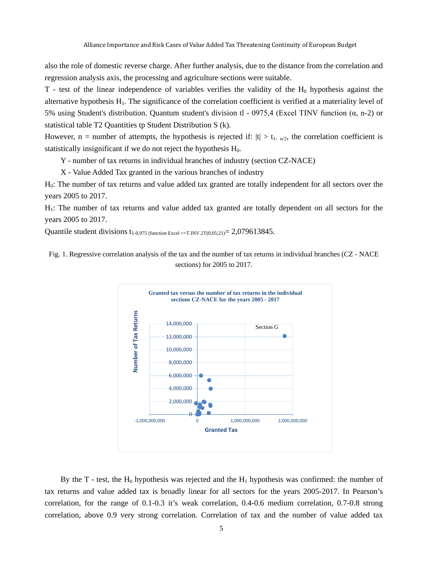also the role of domestic reverse charge. After further analysis, due to the distance from the correlation and regression analysis axis, the processing and agriculture sections were suitable.

 $T$  - test of the linear independence of variables verifies the validity of the  $H_0$  hypothesis against the alternative hypothesis  $H_1$ . The significance of the correlation coefficient is verified at a materiality level of 5% using Student's distribution. Quantum student's division tl - 0975,4 (Excel TINV function (α, n-2) or statistical table T2 Quantities tp Student Distribution S (k).

However, n = number of attempts, the hypothesis is rejected if:  $|t| > t_1$  and  $\omega$ , the correlation coefficient is statistically insignificant if we do not reject the hypothesis  $H_0$ .

Y - number of tax returns in individual branches of industry (section CZ-NACE)

X - Value Added Tax granted in the various branches of industry

H0: The number of tax returns and value added tax granted are totally independent for all sectors over the years 2005 to 2017.

H1: The number of tax returns and value added tax granted are totally dependent on all sectors for the years 2005 to 2017.

Quantile student divisions  $t_{1-0.975 \text{ (function Excel == T.INV.2T}(0.05;21)} = 2,079613845$ .

Fig. 1. Regressive correlation analysis of the tax and the number of tax returns in individual branches (CZ - NACE sections) for 2005 to 2017.



By the T - test, the  $H_0$  hypothesis was rejected and the  $H_1$  hypothesis was confirmed: the number of tax returns and value added tax is broadly linear for all sectors for the years 2005-2017. In Pearson's correlation, for the range of 0.1-0.3 it's weak correlation, 0.4-0.6 medium correlation, 0.7-0.8 strong correlation, above 0.9 very strong correlation. Correlation of tax and the number of value added tax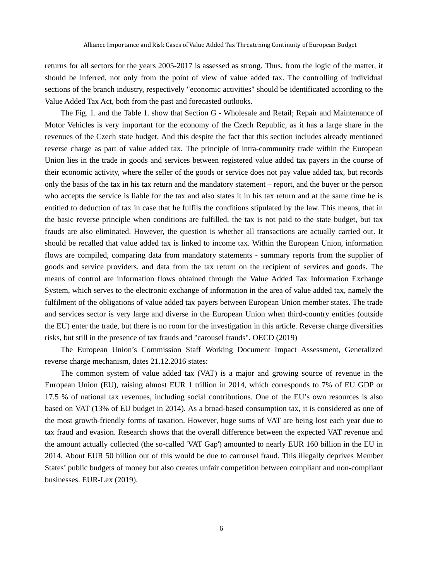returns for all sectors for the years 2005-2017 is assessed as strong. Thus, from the logic of the matter, it should be inferred, not only from the point of view of value added tax. The controlling of individual sections of the branch industry, respectively "economic activities" should be identificated according to the Value Added Tax Act, both from the past and forecasted outlooks.

The Fig. 1. and the Table 1. show that Section G - Wholesale and Retail; Repair and Maintenance of Motor Vehicles is very important for the economy of the Czech Republic, as it has a large share in the revenues of the Czech state budget. And this despite the fact that this section includes already mentioned reverse charge as part of value added tax. The principle of intra-community trade within the European Union lies in the trade in goods and services between registered value added tax payers in the course of their economic activity, where the seller of the goods or service does not pay value added tax, but records only the basis of the tax in his tax return and the mandatory statement – report, and the buyer or the person who accepts the service is liable for the tax and also states it in his tax return and at the same time he is entitled to deduction of tax in case that he fulfils the conditions stipulated by the law. This means, that in the basic reverse principle when conditions are fulfilled, the tax is not paid to the state budget, but tax frauds are also eliminated. However, the question is whether all transactions are actually carried out. It should be recalled that value added tax is linked to income tax. Within the European Union, information flows are compiled, comparing data from mandatory statements - summary reports from the supplier of goods and service providers, and data from the tax return on the recipient of services and goods. The means of control are information flows obtained through the Value Added Tax Information Exchange System, which serves to the electronic exchange of information in the area of value added tax, namely the fulfilment of the obligations of value added tax payers between European Union member states. The trade and services sector is very large and diverse in the European Union when third-country entities (outside the EU) enter the trade, but there is no room for the investigation in this article. Reverse charge diversifies risks, but still in the presence of tax frauds and "carousel frauds". OECD (2019)

The European Union's Commission Staff Working Document Impact Assessment, Generalized reverse charge mechanism, dates 21.12.2016 states:

The common system of value added tax (VAT) is a major and growing source of revenue in the European Union (EU), raising almost EUR 1 trillion in 2014, which corresponds to 7% of EU GDP or 17.5 % of national tax revenues, including social contributions. One of the EU's own resources is also based on VAT (13% of EU budget in 2014). As a broad-based consumption tax, it is considered as one of the most growth-friendly forms of taxation. However, huge sums of VAT are being lost each year due to tax fraud and evasion. Research shows that the overall difference between the expected VAT revenue and the amount actually collected (the so-called 'VAT Gap') amounted to nearly EUR 160 billion in the EU in 2014. About EUR 50 billion out of this would be due to carrousel fraud. This illegally deprives Member States' public budgets of money but also creates unfair competition between compliant and non-compliant businesses. EUR-Lex (2019).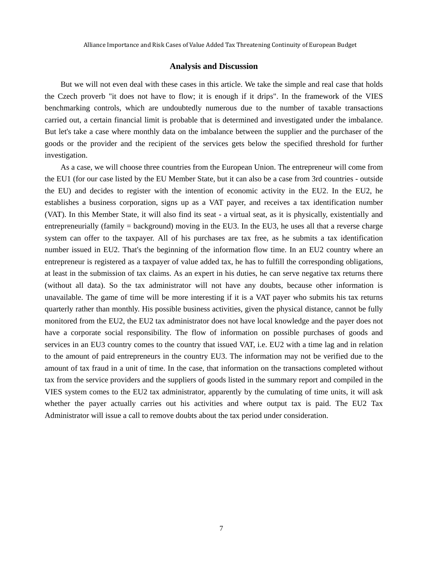#### **Analysis and Discussion**

But we will not even deal with these cases in this article. We take the simple and real case that holds the Czech proverb "it does not have to flow; it is enough if it drips". In the framework of the VIES benchmarking controls, which are undoubtedly numerous due to the number of taxable transactions carried out, a certain financial limit is probable that is determined and investigated under the imbalance. But let's take a case where monthly data on the imbalance between the supplier and the purchaser of the goods or the provider and the recipient of the services gets below the specified threshold for further investigation.

As a case, we will choose three countries from the European Union. The entrepreneur will come from the EU1 (for our case listed by the EU Member State, but it can also be a case from 3rd countries - outside the EU) and decides to register with the intention of economic activity in the EU2. In the EU2, he establishes a business corporation, signs up as a VAT payer, and receives a tax identification number (VAT). In this Member State, it will also find its seat - a virtual seat, as it is physically, existentially and entrepreneurially (family  $=$  background) moving in the EU3. In the EU3, he uses all that a reverse charge system can offer to the taxpayer. All of his purchases are tax free, as he submits a tax identification number issued in EU2. That's the beginning of the information flow time. In an EU2 country where an entrepreneur is registered as a taxpayer of value added tax, he has to fulfill the corresponding obligations, at least in the submission of tax claims. As an expert in his duties, he can serve negative tax returns there (without all data). So the tax administrator will not have any doubts, because other information is unavailable. The game of time will be more interesting if it is a VAT payer who submits his tax returns quarterly rather than monthly. His possible business activities, given the physical distance, cannot be fully monitored from the EU2, the EU2 tax administrator does not have local knowledge and the payer does not have a corporate social responsibility. The flow of information on possible purchases of goods and services in an EU3 country comes to the country that issued VAT, i.e. EU2 with a time lag and in relation to the amount of paid entrepreneurs in the country EU3. The information may not be verified due to the amount of tax fraud in a unit of time. In the case, that information on the transactions completed without tax from the service providers and the suppliers of goods listed in the summary report and compiled in the VIES system comes to the EU2 tax administrator, apparently by the cumulating of time units, it will ask whether the payer actually carries out his activities and where output tax is paid. The EU2 Tax Administrator will issue a call to remove doubts about the tax period under consideration.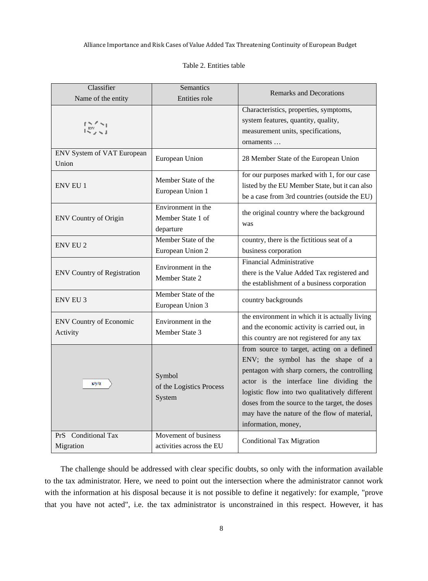#### Table 2. Entities table

| Classifier<br>Name of the entity           | Semantics<br>Entities role                           | <b>Remarks and Decorations</b>                                                                                                                                                                                                                                                                                                                          |
|--------------------------------------------|------------------------------------------------------|---------------------------------------------------------------------------------------------------------------------------------------------------------------------------------------------------------------------------------------------------------------------------------------------------------------------------------------------------------|
|                                            |                                                      | Characteristics, properties, symptoms,<br>system features, quantity, quality,<br>measurement units, specifications,<br>ornaments                                                                                                                                                                                                                        |
| ENV System of VAT European<br>Union        | European Union                                       | 28 Member State of the European Union                                                                                                                                                                                                                                                                                                                   |
| <b>ENV EU 1</b>                            | Member State of the<br>European Union 1              | for our purposes marked with 1, for our case<br>listed by the EU Member State, but it can also<br>be a case from 3rd countries (outside the EU)                                                                                                                                                                                                         |
| <b>ENV Country of Origin</b>               | Environment in the<br>Member State 1 of<br>departure | the original country where the background<br>was                                                                                                                                                                                                                                                                                                        |
| <b>ENV EU 2</b>                            | Member State of the<br>European Union 2              | country, there is the fictitious seat of a<br>business corporation                                                                                                                                                                                                                                                                                      |
| <b>ENV Country of Registration</b>         | Environment in the<br>Member State 2                 | <b>Financial Administrative</b><br>there is the Value Added Tax registered and<br>the establishment of a business corporation                                                                                                                                                                                                                           |
| <b>ENV EU 3</b>                            | Member State of the<br>European Union 3              | country backgrounds                                                                                                                                                                                                                                                                                                                                     |
| <b>ENV Country of Economic</b><br>Activity | Environment in the<br>Member State 3                 | the environment in which it is actually living<br>and the economic activity is carried out, in<br>this country are not registered for any tax                                                                                                                                                                                                           |
| x/y/z                                      | Symbol<br>of the Logistics Process<br>System         | from source to target, acting on a defined<br>ENV; the symbol has the shape of a<br>pentagon with sharp corners, the controlling<br>actor is the interface line dividing the<br>logistic flow into two qualitatively different<br>doses from the source to the target, the doses<br>may have the nature of the flow of material,<br>information, money, |
| PrS Conditional Tax<br>Migration           | Movement of business<br>activities across the EU     | <b>Conditional Tax Migration</b>                                                                                                                                                                                                                                                                                                                        |

The challenge should be addressed with clear specific doubts, so only with the information available to the tax administrator. Here, we need to point out the intersection where the administrator cannot work with the information at his disposal because it is not possible to define it negatively: for example, "prove that you have not acted", i.e. the tax administrator is unconstrained in this respect. However, it has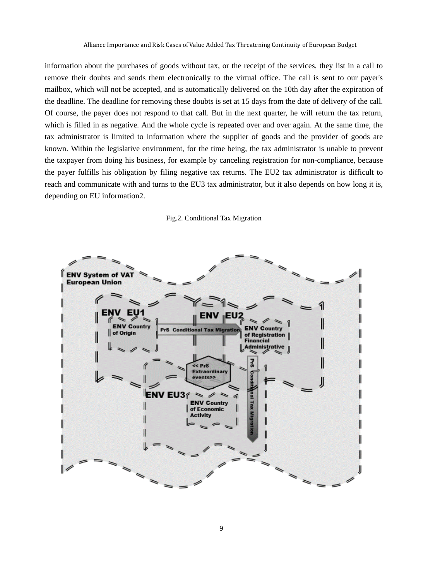information about the purchases of goods without tax, or the receipt of the services, they list in a call to remove their doubts and sends them electronically to the virtual office. The call is sent to our payer's mailbox, which will not be accepted, and is automatically delivered on the 10th day after the expiration of the deadline. The deadline for removing these doubts is set at 15 days from the date of delivery of the call. Of course, the payer does not respond to that call. But in the next quarter, he will return the tax return, which is filled in as negative. And the whole cycle is repeated over and over again. At the same time, the tax administrator is limited to information where the supplier of goods and the provider of goods are known. Within the legislative environment, for the time being, the tax administrator is unable to prevent the taxpayer from doing his business, for example by canceling registration for non-compliance, because the payer fulfills his obligation by filing negative tax returns. The EU2 tax administrator is difficult to reach and communicate with and turns to the EU3 tax administrator, but it also depends on how long it is, depending on EU information2.

#### Fig.2. Conditional Tax Migration

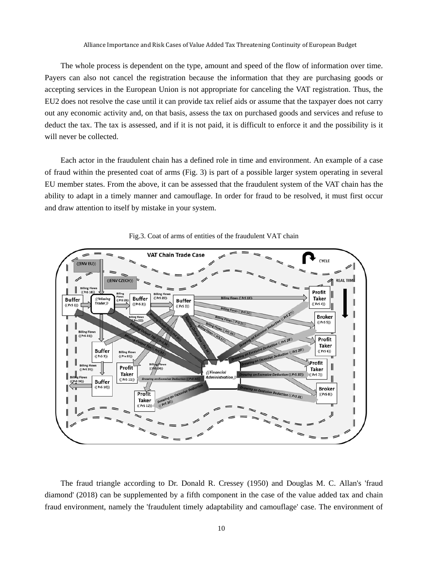The whole process is dependent on the type, amount and speed of the flow of information over time. Payers can also not cancel the registration because the information that they are purchasing goods or accepting services in the European Union is not appropriate for canceling the VAT registration. Thus, the EU2 does not resolve the case until it can provide tax relief aids or assume that the taxpayer does not carry out any economic activity and, on that basis, assess the tax on purchased goods and services and refuse to deduct the tax. The tax is assessed, and if it is not paid, it is difficult to enforce it and the possibility is it will never be collected.

Each actor in the fraudulent chain has a defined role in time and environment. An example of a case of fraud within the presented coat of arms (Fig. 3) is part of a possible larger system operating in several EU member states. From the above, it can be assessed that the fraudulent system of the VAT chain has the ability to adapt in a timely manner and camouflage. In order for fraud to be resolved, it must first occur and draw attention to itself by mistake in your system.



Fig.3. Coat of arms of entities of the fraudulent VAT chain

The fraud triangle according to Dr. Donald R. Cressey (1950) and Douglas M. C. Allan's 'fraud diamond' (2018) can be supplemented by a fifth component in the case of the value added tax and chain fraud environment, namely the 'fraudulent timely adaptability and camouflage' case. The environment of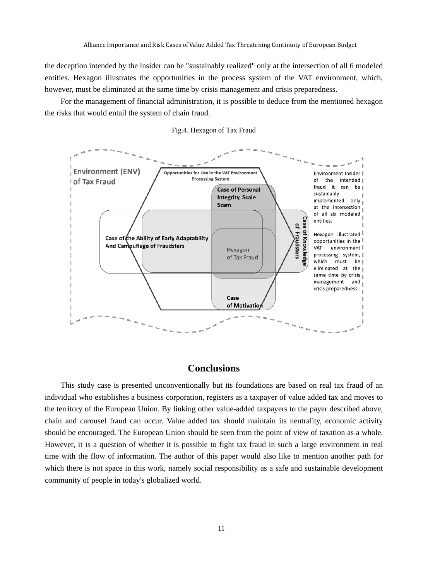the deception intended by the insider can be "sustainably realized" only at the intersection of all 6 modeled entities. Hexagon illustrates the opportunities in the process system of the VAT environment, which, however, must be eliminated at the same time by crisis management and crisis preparedness.

For the management of financial administration, it is possible to deduce from the mentioned hexagon the risks that would entail the system of chain fraud.



Fig.4. Hexagon of Tax Fraud

## **Conclusions**

This study case is presented unconventionally but its foundations are based on real tax fraud of an individual who establishes a business corporation, registers as a taxpayer of value added tax and moves to the territory of the European Union. By linking other value-added taxpayers to the payer described above, chain and carousel fraud can occur. Value added tax should maintain its neutrality, economic activity should be encouraged. The European Union should be seen from the point of view of taxation as a whole. However, it is a question of whether it is possible to fight tax fraud in such a large environment in real time with the flow of information. The author of this paper would also like to mention another path for which there is not space in this work, namely social responsibility as a safe and sustainable development community of people in today's globalized world.